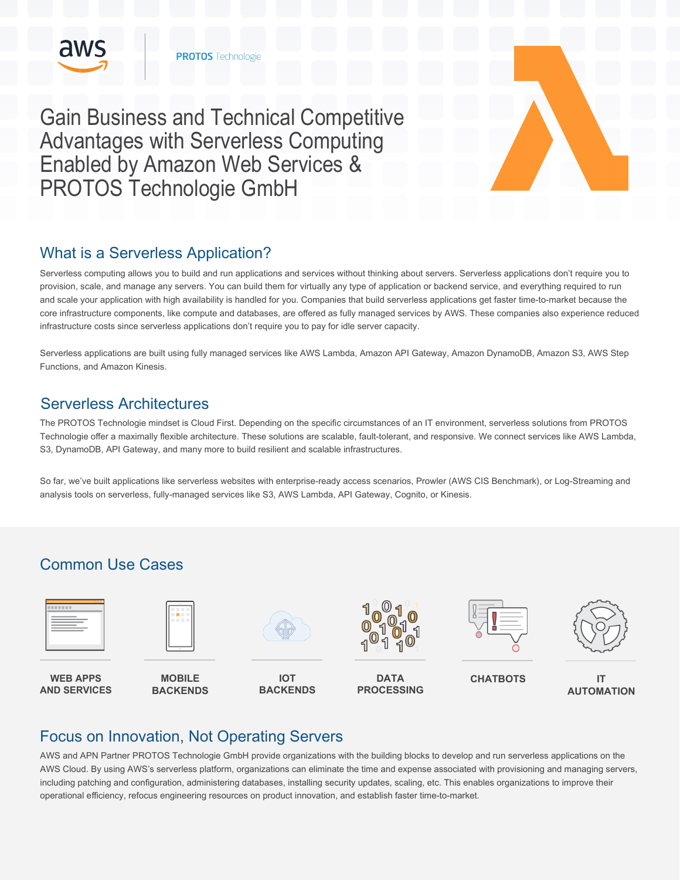

Gain Business and Technical Competitive Advantages with Serverless Computing Enabled by Amazon Web Services & PROTOS Technologie GmbH

# What is a Serverless Application?

Serverless computing allows you to build and run applications and services without thinking about servers. Serverless applications don't require you to provision, scale, and manage any servers. You can build them for virtually any type of application or backend service, and everything required to run and scale your application with high availability is handled for you. Companies that build serverless applications get faster time-to-market because the core infrastructure components, like compute and databases, are offered as fully managed services by AWS. These companies also experience reduced infrastructure costs since serverless applications don't require you to pay for idle server capacity.

Serverless applications are built using fully managed services like AWS Lambda, Amazon API Gateway, Amazon DynamoDB, Amazon S3, AWS Step Functions, and Amazon Kinesis.

### Serverless Architectures

The PROTOS Technologie mindset is Cloud First. Depending on the specific circumstances of an IT environment, serverless solutions from PROTOS Technologie offer a maximally flexible architecture. These solutions are scalable, fault-tolerant, and responsive. We connect services like AWS Lambda, S3, DynamoDB, API Gateway, and many more to build resilient and scalable infrastructures.

So far, we've built applications like serverless websites with enterprise-ready access scenarios, Prowler (AWS CIS Benchmark), or Log-Streaming and analysis tools on serverless, fully-managed services like S3, AWS Lambda, API Gateway, Cognito, or Kinesis.

# Common Use Cases



# Focus on Innovation, Not Operating Servers

AWS and APN Partner PROTOS Technologie GmbH provide organizations with the building blocks to develop and run serverless applications on the AWS Cloud. By using AWS's serverless platform, organizations can eliminate the time and expense associated with provisioning and managing servers, including patching and configuration, administering databases, installing security updates, scaling, etc. This enables organizations to improve their operational efficiency, refocus engineering resources on product innovation, and establish faster time-to-market.